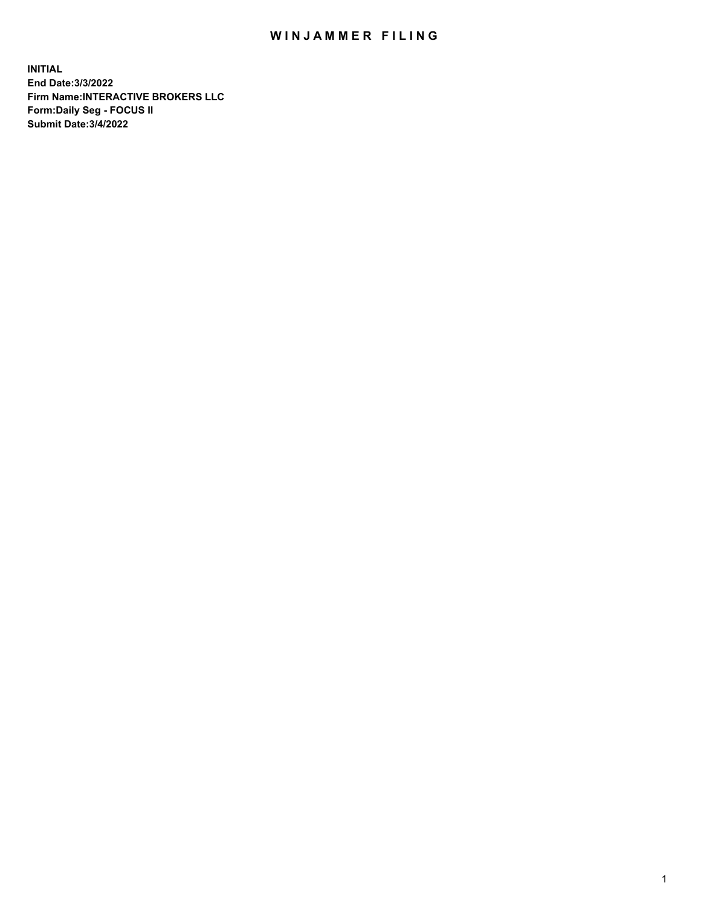## WIN JAMMER FILING

**INITIAL End Date:3/3/2022 Firm Name:INTERACTIVE BROKERS LLC Form:Daily Seg - FOCUS II Submit Date:3/4/2022**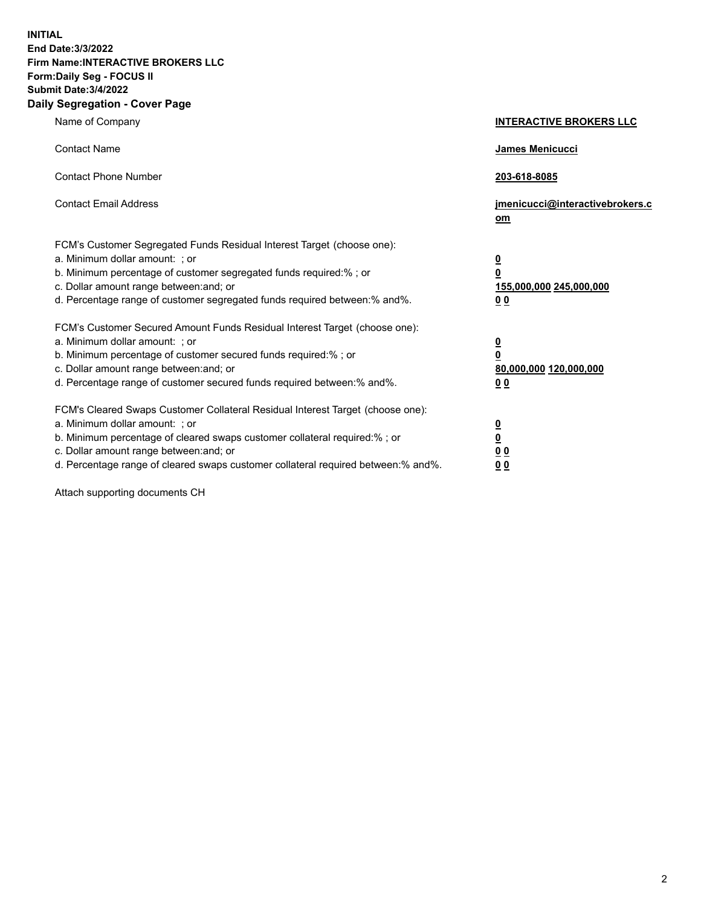**INITIAL End Date:3/3/2022 Firm Name:INTERACTIVE BROKERS LLC Form:Daily Seg - FOCUS II Submit Date:3/4/2022 Daily Segregation - Cover Page**

| Name of Company                                                                                                                                                                                                                                                                                                                | <b>INTERACTIVE BROKERS LLC</b>                                                                 |
|--------------------------------------------------------------------------------------------------------------------------------------------------------------------------------------------------------------------------------------------------------------------------------------------------------------------------------|------------------------------------------------------------------------------------------------|
| <b>Contact Name</b>                                                                                                                                                                                                                                                                                                            | James Menicucci                                                                                |
| <b>Contact Phone Number</b>                                                                                                                                                                                                                                                                                                    | 203-618-8085                                                                                   |
| <b>Contact Email Address</b>                                                                                                                                                                                                                                                                                                   | jmenicucci@interactivebrokers.c<br>om                                                          |
| FCM's Customer Segregated Funds Residual Interest Target (choose one):<br>a. Minimum dollar amount: ; or<br>b. Minimum percentage of customer segregated funds required:% ; or<br>c. Dollar amount range between: and; or<br>d. Percentage range of customer segregated funds required between:% and%.                         | $\overline{\mathbf{0}}$<br>$\overline{\mathbf{0}}$<br>155,000,000 245,000,000<br>00            |
| FCM's Customer Secured Amount Funds Residual Interest Target (choose one):<br>a. Minimum dollar amount: ; or<br>b. Minimum percentage of customer secured funds required:%; or<br>c. Dollar amount range between: and; or<br>d. Percentage range of customer secured funds required between:% and%.                            | $\overline{\mathbf{0}}$<br>$\overline{\mathbf{0}}$<br>80,000,000 120,000,000<br>0 <sub>0</sub> |
| FCM's Cleared Swaps Customer Collateral Residual Interest Target (choose one):<br>a. Minimum dollar amount: ; or<br>b. Minimum percentage of cleared swaps customer collateral required:% ; or<br>c. Dollar amount range between: and; or<br>d. Percentage range of cleared swaps customer collateral required between:% and%. | $\overline{\mathbf{0}}$<br>$\underline{\mathbf{0}}$<br>0 <sub>0</sub><br>0 <sub>0</sub>        |

Attach supporting documents CH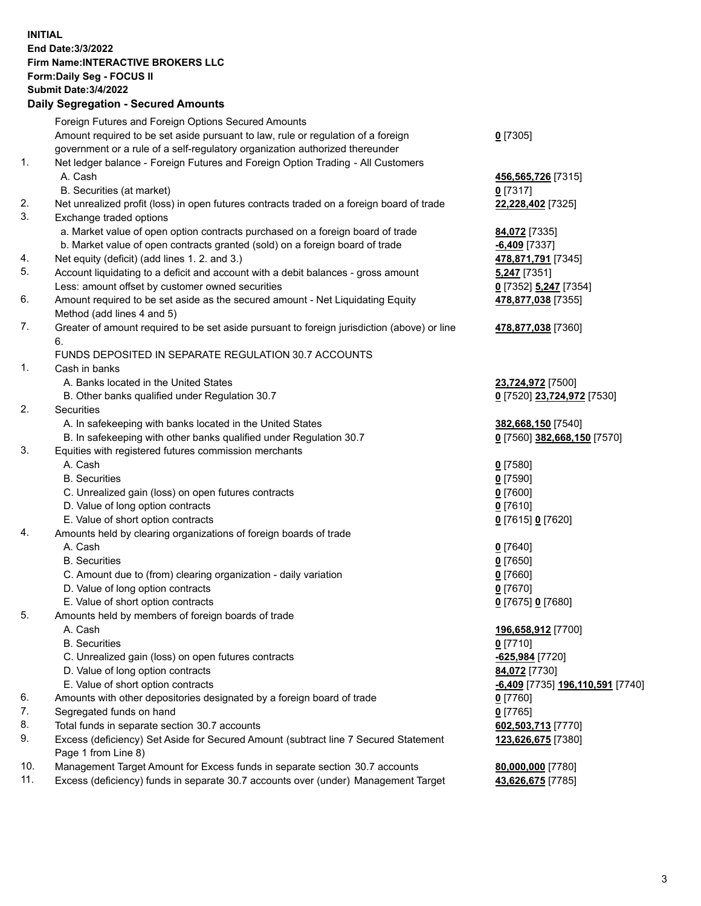**INITIAL End Date:3/3/2022 Firm Name:INTERACTIVE BROKERS LLC Form:Daily Seg - FOCUS II Submit Date:3/4/2022 Daily Segregation - Secured Amounts**

|                | Dany Ocgregation - Occurea Anioants                                                                        |                                               |
|----------------|------------------------------------------------------------------------------------------------------------|-----------------------------------------------|
|                | Foreign Futures and Foreign Options Secured Amounts                                                        |                                               |
|                | Amount required to be set aside pursuant to law, rule or regulation of a foreign                           | $0$ [7305]                                    |
|                | government or a rule of a self-regulatory organization authorized thereunder                               |                                               |
| 1.             | Net ledger balance - Foreign Futures and Foreign Option Trading - All Customers                            |                                               |
|                | A. Cash                                                                                                    | 456,565,726 [7315]                            |
|                | B. Securities (at market)                                                                                  | $0$ [7317]                                    |
| 2.             | Net unrealized profit (loss) in open futures contracts traded on a foreign board of trade                  | 22,228,402 [7325]                             |
| 3.             | Exchange traded options                                                                                    |                                               |
|                | a. Market value of open option contracts purchased on a foreign board of trade                             | 84,072 [7335]                                 |
|                | b. Market value of open contracts granted (sold) on a foreign board of trade                               | $-6,409$ [7337]                               |
| 4.             | Net equity (deficit) (add lines 1. 2. and 3.)                                                              | 478,871,791 [7345]                            |
| 5.             | Account liquidating to a deficit and account with a debit balances - gross amount                          | <b>5,247</b> [7351]                           |
|                | Less: amount offset by customer owned securities                                                           | 0 [7352] 5,247 [7354]                         |
| 6.             | Amount required to be set aside as the secured amount - Net Liquidating Equity                             | 478,877,038 [7355]                            |
|                | Method (add lines 4 and 5)                                                                                 |                                               |
| 7.             | Greater of amount required to be set aside pursuant to foreign jurisdiction (above) or line                | 478,877,038 [7360]                            |
|                | 6.                                                                                                         |                                               |
|                | FUNDS DEPOSITED IN SEPARATE REGULATION 30.7 ACCOUNTS                                                       |                                               |
| $\mathbf{1}$ . | Cash in banks                                                                                              |                                               |
|                | A. Banks located in the United States                                                                      | 23,724,972 [7500]                             |
|                | B. Other banks qualified under Regulation 30.7                                                             | 0 [7520] 23,724,972 [7530]                    |
| 2.             | <b>Securities</b>                                                                                          |                                               |
|                | A. In safekeeping with banks located in the United States                                                  | 382,668,150 [7540]                            |
|                | B. In safekeeping with other banks qualified under Regulation 30.7                                         | 0 [7560] 382,668,150 [7570]                   |
| 3.             | Equities with registered futures commission merchants                                                      |                                               |
|                | A. Cash                                                                                                    | $0$ [7580]                                    |
|                | <b>B.</b> Securities                                                                                       | $0$ [7590]                                    |
|                | C. Unrealized gain (loss) on open futures contracts                                                        | $0$ [7600]                                    |
|                | D. Value of long option contracts                                                                          | $0$ [7610]                                    |
|                | E. Value of short option contracts                                                                         | 0 [7615] 0 [7620]                             |
| 4.             | Amounts held by clearing organizations of foreign boards of trade                                          |                                               |
|                | A. Cash                                                                                                    | $0$ [7640]                                    |
|                | <b>B.</b> Securities                                                                                       | $0$ [7650]                                    |
|                | C. Amount due to (from) clearing organization - daily variation                                            | $0$ [7660]                                    |
|                | D. Value of long option contracts                                                                          | $0$ [7670]                                    |
|                | E. Value of short option contracts                                                                         | 0 [7675] 0 [7680]                             |
| 5.             | Amounts held by members of foreign boards of trade                                                         |                                               |
|                | A. Cash                                                                                                    | 196,658,912 [7700]                            |
|                | <b>B.</b> Securities                                                                                       | $0$ [7710]                                    |
|                | C. Unrealized gain (loss) on open futures contracts                                                        | -625,984 [7720]                               |
|                | D. Value of long option contracts                                                                          | 84,072 [7730]                                 |
|                | E. Value of short option contracts                                                                         | <mark>-6,409</mark> [7735] 196,110,591 [7740] |
| 6.             | Amounts with other depositories designated by a foreign board of trade                                     | 0 [7760]                                      |
| 7.             | Segregated funds on hand                                                                                   | $0$ [7765]                                    |
| 8.             | Total funds in separate section 30.7 accounts                                                              | 602,503,713 [7770]                            |
| 9.             | Excess (deficiency) Set Aside for Secured Amount (subtract line 7 Secured Statement<br>Page 1 from Line 8) | 123,626,675 [7380]                            |
| 10.            | Management Target Amount for Excess funds in separate section 30.7 accounts                                |                                               |
| 11.            | Excess (deficiency) funds in separate 30.7 accounts over (under) Management Target                         | 80,000,000 [7780]<br>43,626,675 [7785]        |
|                |                                                                                                            |                                               |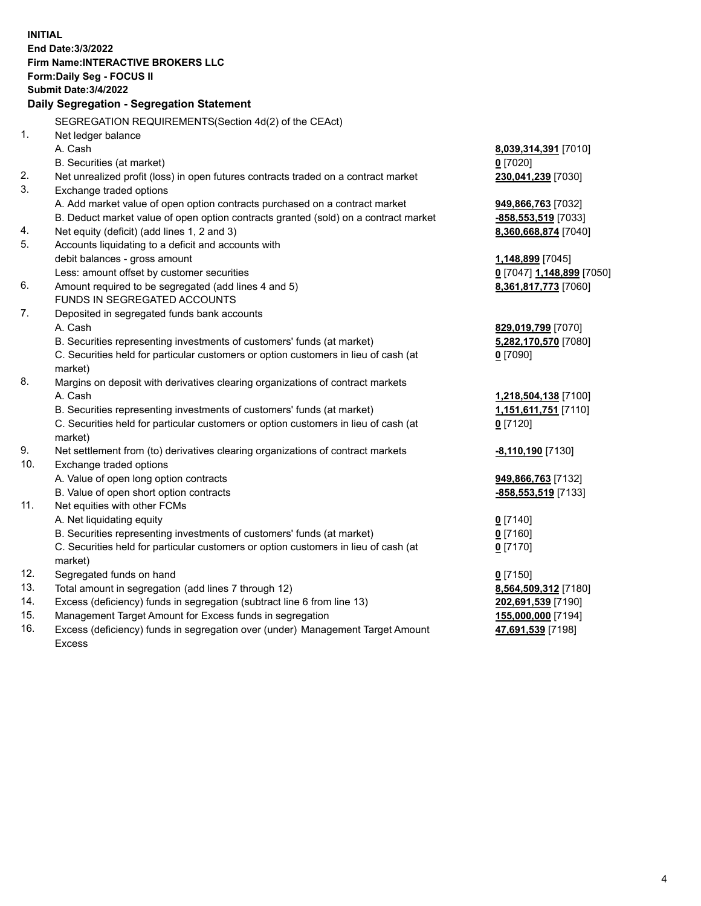**INITIAL End Date:3/3/2022 Firm Name:INTERACTIVE BROKERS LLC Form:Daily Seg - FOCUS II Submit Date:3/4/2022 Daily Segregation - Segregation Statement** SEGREGATION REQUIREMENTS(Section 4d(2) of the CEAct) 1. Net ledger balance A. Cash **8,039,314,391** [7010] B. Securities (at market) **0** [7020] 2. Net unrealized profit (loss) in open futures contracts traded on a contract market **230,041,239** [7030] 3. Exchange traded options A. Add market value of open option contracts purchased on a contract market **949,866,763** [7032] B. Deduct market value of open option contracts granted (sold) on a contract market **-858,553,519** [7033] 4. Net equity (deficit) (add lines 1, 2 and 3) **8,360,668,874** [7040] 5. Accounts liquidating to a deficit and accounts with debit balances - gross amount **1,148,899** [7045] Less: amount offset by customer securities **0** [7047] **1,148,899** [7050] 6. Amount required to be segregated (add lines 4 and 5) **8,361,817,773** [7060] FUNDS IN SEGREGATED ACCOUNTS 7. Deposited in segregated funds bank accounts A. Cash **829,019,799** [7070] B. Securities representing investments of customers' funds (at market) **5,282,170,570** [7080] C. Securities held for particular customers or option customers in lieu of cash (at market) **0** [7090] 8. Margins on deposit with derivatives clearing organizations of contract markets A. Cash **1,218,504,138** [7100] B. Securities representing investments of customers' funds (at market) **1,151,611,751** [7110] C. Securities held for particular customers or option customers in lieu of cash (at market) **0** [7120] 9. Net settlement from (to) derivatives clearing organizations of contract markets **-8,110,190** [7130] 10. Exchange traded options A. Value of open long option contracts **949,866,763** [7132] B. Value of open short option contracts **-858,553,519** [7133] 11. Net equities with other FCMs A. Net liquidating equity **0** [7140] B. Securities representing investments of customers' funds (at market) **0** [7160] C. Securities held for particular customers or option customers in lieu of cash (at market) **0** [7170] 12. Segregated funds on hand **0** [7150] 13. Total amount in segregation (add lines 7 through 12) **8,564,509,312** [7180] 14. Excess (deficiency) funds in segregation (subtract line 6 from line 13) **202,691,539** [7190] 15. Management Target Amount for Excess funds in segregation **155,000,000** [7194] 16. Excess (deficiency) funds in segregation over (under) Management Target Amount **47,691,539** [7198]

Excess